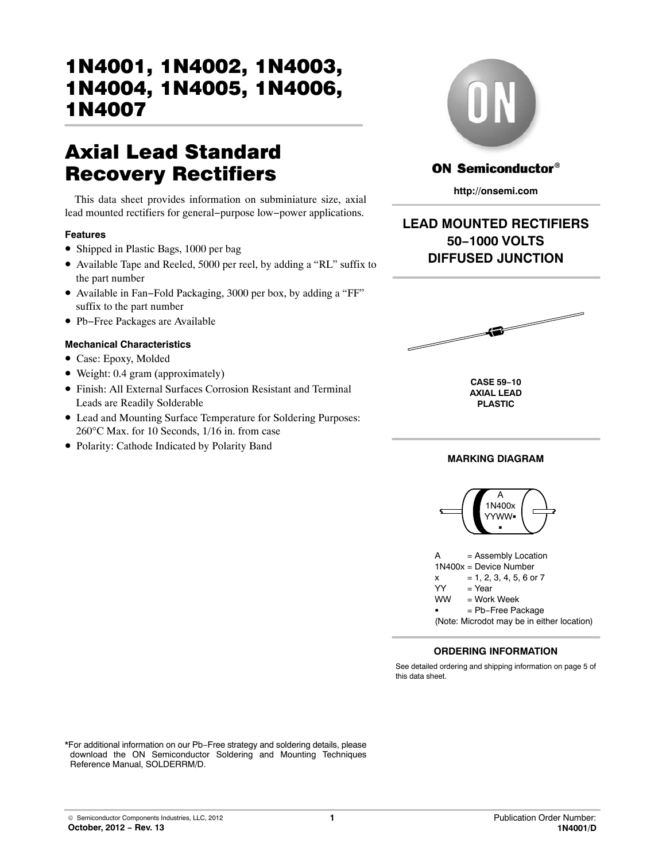# Axial Lead Standard Recovery Rectifiers

This data sheet provides information on subminiature size, axial lead mounted rectifiers for general−purpose low−power applications.

### **Features**

- Shipped in Plastic Bags, 1000 per bag
- Available Tape and Reeled, 5000 per reel, by adding a "RL" suffix to the part number
- Available in Fan−Fold Packaging, 3000 per box, by adding a "FF" suffix to the part number
- Pb−Free Packages are Available

### **Mechanical Characteristics**

- Case: Epoxy, Molded
- Weight: 0.4 gram (approximately)
- Finish: All External Surfaces Corrosion Resistant and Terminal Leads are Readily Solderable
- Lead and Mounting Surface Temperature for Soldering Purposes: 260°C Max. for 10 Seconds, 1/16 in. from case
- Polarity: Cathode Indicated by Polarity Band



### **ON Semiconductor®**

**http://onsemi.com**

# **LEAD MOUNTED RECTIFIERS 50−1000 VOLTS DIFFUSED JUNCTION**



**CASE 59−10 AXIAL LEAD PLASTIC**

### **MARKING DIAGRAM**





### **ORDERING INFORMATION**

See detailed ordering and shipping information on page [5](#page-4-0) of this data sheet.

\*For additional information on our Pb−Free strategy and soldering details, please download the ON Semiconductor Soldering and Mounting Techniques Reference Manual, SOLDERRM/D.

© Semiconductor Components Industries, LLC, 2012 **October, 2012 − Rev. 13**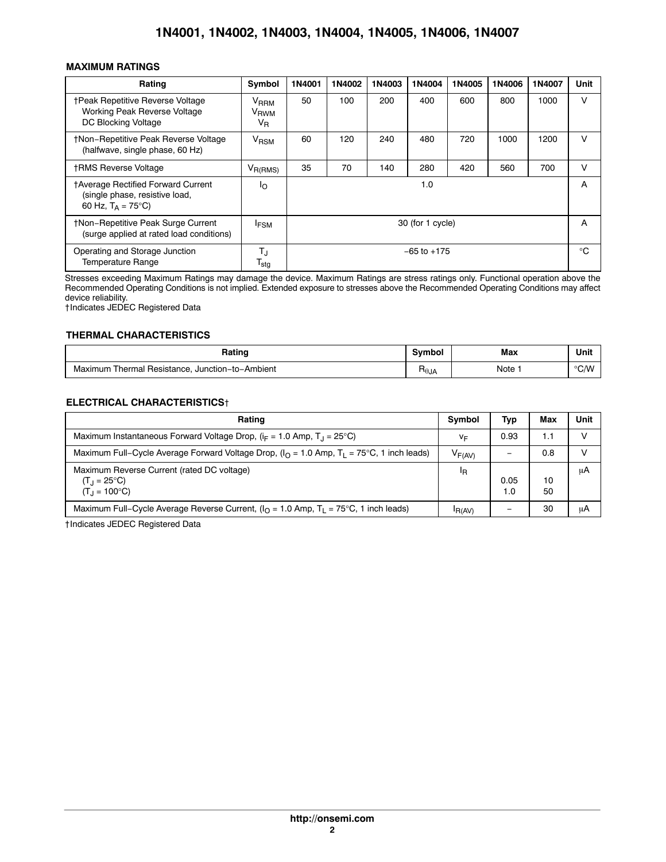### **MAXIMUM RATINGS**

| Rating                                                                                               | Symbol                                                   | 1N4001          | 1N4002           | 1N4003 | 1N4004 | 1N4005 | 1N4006       | 1N4007 | Unit |
|------------------------------------------------------------------------------------------------------|----------------------------------------------------------|-----------------|------------------|--------|--------|--------|--------------|--------|------|
| <b>†Peak Repetitive Reverse Voltage</b><br>Working Peak Reverse Voltage<br>DC Blocking Voltage       | V <sub>RRM</sub><br>V <sub>RWM</sub><br>$V_{\mathsf{R}}$ | 50              | 100              | 200    | 400    | 600    | 800          | 1000   | ν    |
| <b>†Non-Repetitive Peak Reverse Voltage</b><br>(halfwave, single phase, 60 Hz)                       | V <sub>RSM</sub>                                         | 60              | 120              | 240    | 480    | 720    | 1000         | 1200   | v    |
| <b>†RMS Reverse Voltage</b>                                                                          | $V_{R(RMS)}$                                             | 35              | 70               | 140    | 280    | 420    | 560          | 700    | v    |
| †Average Rectified Forward Current<br>(single phase, resistive load,<br>60 Hz, $T_A = 75^{\circ}C$ ) | Ιo                                                       |                 | 1.0              |        |        |        |              | A      |      |
| <b>tNon-Repetitive Peak Surge Current</b><br>(surge applied at rated load conditions)                | <b>IFSM</b>                                              |                 | 30 (for 1 cycle) |        |        |        |              | A      |      |
| Operating and Storage Junction<br><b>Temperature Range</b>                                           | TJ<br>$\mathsf{T}_{\mathsf{stg}}$                        | $-65$ to $+175$ |                  |        |        |        | $^{\circ}$ C |        |      |

Stresses exceeding Maximum Ratings may damage the device. Maximum Ratings are stress ratings only. Functional operation above the Recommended Operating Conditions is not implied. Extended exposure to stresses above the Recommended Operating Conditions may affect device reliability.

†Indicates JEDEC Registered Data

#### **THERMAL CHARACTERISTICS**

| Rating                                          | Symbol         | Max  | Unit           |
|-------------------------------------------------|----------------|------|----------------|
| Maximum Thermal Resistance, Junction-to-Ambient | $H_{\theta$ JA | Note | $^{\circ}$ C/W |

#### **ELECTRICAL CHARACTERISTICS**†

| Rating                                                                                                | Symbol      | Typ         | Max      | Unit |
|-------------------------------------------------------------------------------------------------------|-------------|-------------|----------|------|
| Maximum Instantaneous Forward Voltage Drop, $(i_F = 1.0 \text{ Amp}, T_{\perp} = 25^{\circ}\text{C})$ | VF          | 0.93        | 1.1      |      |
| Maximum Full–Cycle Average Forward Voltage Drop, $(IO = 1.0$ Amp, $T1 = 75$ °C, 1 inch leads)         | $V_{F(AV)}$ |             | 0.8      |      |
| Maximum Reverse Current (rated DC voltage)<br>$(T_{.1} = 25^{\circ}C)$<br>$(T_1 = 100^{\circ}C)$      | ΙR          | 0.05<br>1.0 | 10<br>50 | uA   |
| Maximum Full–Cycle Average Reverse Current, $(IO = 1.0$ Amp, $TI = 75$ °C, 1 inch leads)              | IR(AV)      |             | 30       | uA   |

†Indicates JEDEC Registered Data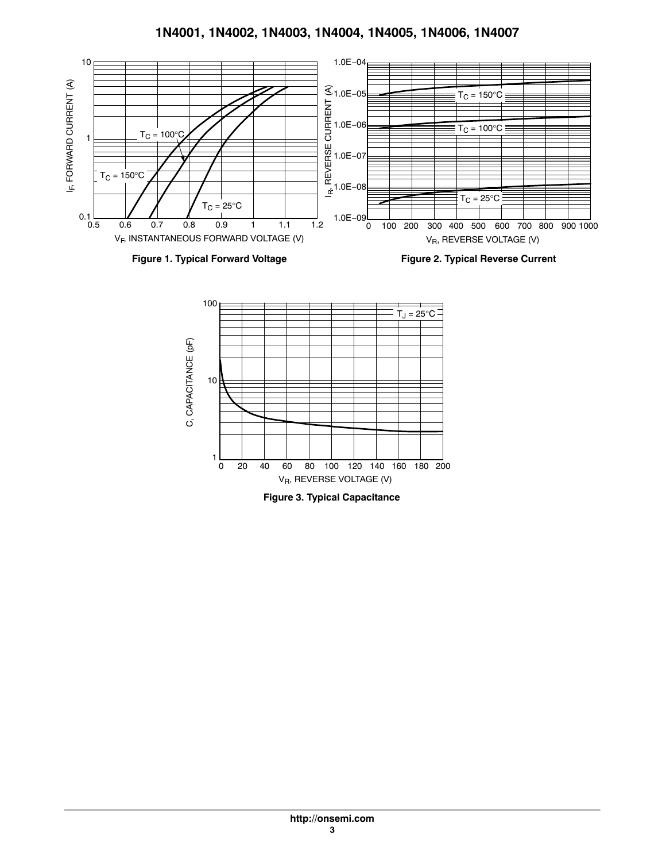





**Figure 3. Typical Capacitance**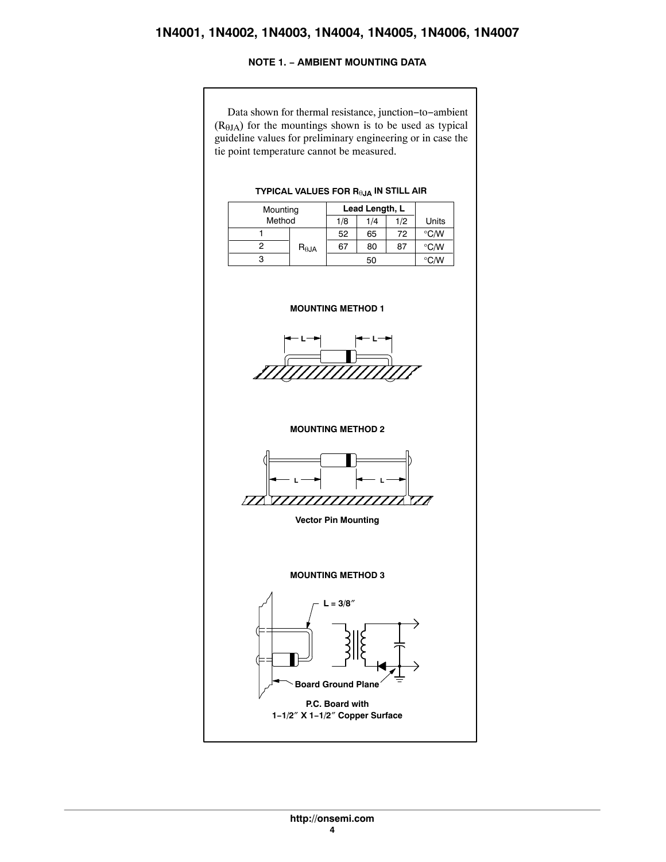### **NOTE 1. − AMBIENT MOUNTING DATA**

<span id="page-3-0"></span>Data shown for thermal resistance, junction−to−ambient  $(R<sub>0JA</sub>)$  for the mountings shown is to be used as typical guideline values for preliminary engineering or in case the tie point temperature cannot be measured.

#### Mounting **Lead Length, L** Method 1/8 1/4 1/2 Units 1 2 3 52  $R_{\theta JA}$ 67 65 72 80 87 50 °C/W  $^{\circ}$ C/W °C/W **TYPICAL VALUES FOR R**-**JA IN STILL AIR MOUNTING METHOD 1**

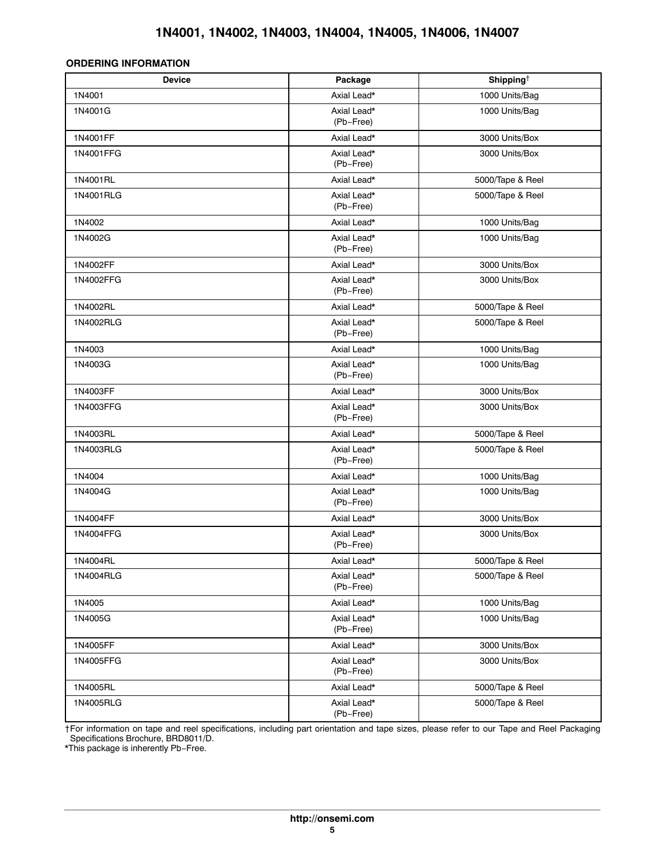### <span id="page-4-0"></span>**ORDERING INFORMATION**

| <b>Device</b> | Package                  | Shipping <sup><math>\dagger</math></sup> |
|---------------|--------------------------|------------------------------------------|
| 1N4001        | Axial Lead*              | 1000 Units/Bag                           |
| 1N4001G       | Axial Lead*<br>(Pb-Free) | 1000 Units/Bag                           |
| 1N4001FF      | Axial Lead*              | 3000 Units/Box                           |
| 1N4001FFG     | Axial Lead*<br>(Pb-Free) | 3000 Units/Box                           |
| 1N4001RL      | Axial Lead*              | 5000/Tape & Reel                         |
| 1N4001RLG     | Axial Lead*<br>(Pb-Free) | 5000/Tape & Reel                         |
| 1N4002        | Axial Lead*              | 1000 Units/Bag                           |
| 1N4002G       | Axial Lead*<br>(Pb-Free) | 1000 Units/Bag                           |
| 1N4002FF      | Axial Lead*              | 3000 Units/Box                           |
| 1N4002FFG     | Axial Lead*<br>(Pb-Free) | 3000 Units/Box                           |
| 1N4002RL      | Axial Lead*              | 5000/Tape & Reel                         |
| 1N4002RLG     | Axial Lead*<br>(Pb-Free) | 5000/Tape & Reel                         |
| 1N4003        | Axial Lead*              | 1000 Units/Bag                           |
| 1N4003G       | Axial Lead*<br>(Pb-Free) | 1000 Units/Bag                           |
| 1N4003FF      | Axial Lead*              | 3000 Units/Box                           |
| 1N4003FFG     | Axial Lead*<br>(Pb-Free) | 3000 Units/Box                           |
| 1N4003RL      | Axial Lead*              | 5000/Tape & Reel                         |
| 1N4003RLG     | Axial Lead*<br>(Pb-Free) | 5000/Tape & Reel                         |
| 1N4004        | Axial Lead*              | 1000 Units/Bag                           |
| 1N4004G       | Axial Lead*<br>(Pb-Free) | 1000 Units/Bag                           |
| 1N4004FF      | Axial Lead*              | 3000 Units/Box                           |
| 1N4004FFG     | Axial Lead*<br>(Pb-Free) | 3000 Units/Box                           |
| 1N4004RL      | Axial Lead*              | 5000/Tape & Reel                         |
| 1N4004RLG     | Axial Lead*<br>(Pb-Free) | 5000/Tape & Reel                         |
| 1N4005        | Axial Lead*              | 1000 Units/Bag                           |
| 1N4005G       | Axial Lead*<br>(Pb-Free) | 1000 Units/Bag                           |
| 1N4005FF      | Axial Lead*              | 3000 Units/Box                           |
| 1N4005FFG     | Axial Lead*<br>(Pb-Free) | 3000 Units/Box                           |
| 1N4005RL      | Axial Lead*              | 5000/Tape & Reel                         |
| 1N4005RLG     | Axial Lead*<br>(Pb-Free) | 5000/Tape & Reel                         |

†For information on tape and reel specifications, including part orientation and tape sizes, please refer to our Tape and Reel Packaging Specifications Brochure, BRD8011/D.

\*This package is inherently Pb−Free.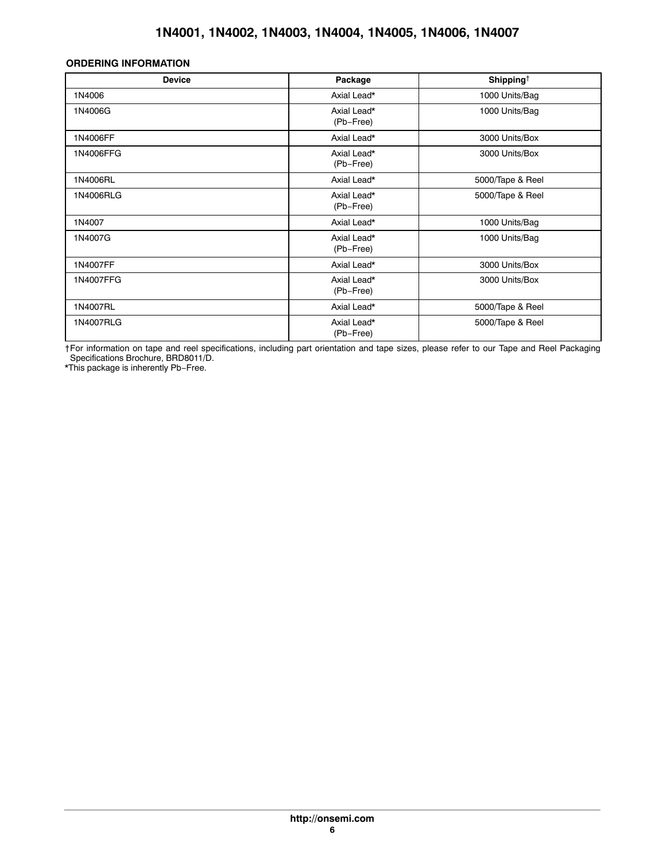### **ORDERING INFORMATION**

| <b>Device</b> | Package                  | Shipping <sup>+</sup> |
|---------------|--------------------------|-----------------------|
| 1N4006        | Axial Lead*              | 1000 Units/Bag        |
| 1N4006G       | Axial Lead*<br>(Pb-Free) | 1000 Units/Bag        |
| 1N4006FF      | Axial Lead*              | 3000 Units/Box        |
| 1N4006FFG     | Axial Lead*<br>(Pb-Free) | 3000 Units/Box        |
| 1N4006RL      | Axial Lead*              | 5000/Tape & Reel      |
| 1N4006RLG     | Axial Lead*<br>(Pb-Free) | 5000/Tape & Reel      |
| 1N4007        | Axial Lead*              | 1000 Units/Bag        |
| 1N4007G       | Axial Lead*<br>(Pb-Free) | 1000 Units/Bag        |
| 1N4007FF      | Axial Lead*              | 3000 Units/Box        |
| 1N4007FFG     | Axial Lead*<br>(Pb-Free) | 3000 Units/Box        |
| 1N4007RL      | Axial Lead*              | 5000/Tape & Reel      |
| 1N4007RLG     | Axial Lead*<br>(Pb-Free) | 5000/Tape & Reel      |

†For information on tape and reel specifications, including part orientation and tape sizes, please refer to our Tape and Reel Packaging Specifications Brochure, BRD8011/D.

\*This package is inherently Pb−Free.